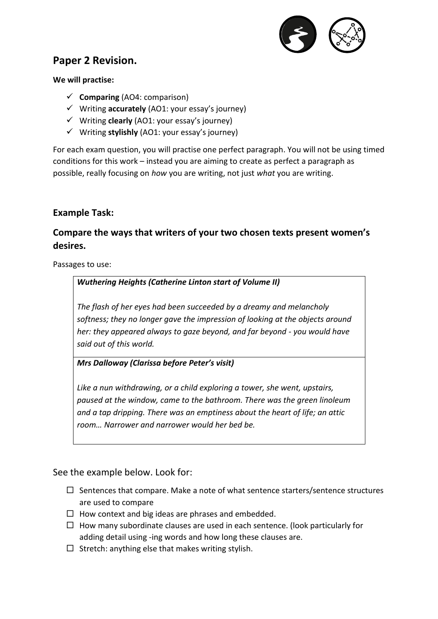

# **Paper 2 Revision.**

### **We will practise:**

- ✓ **Comparing** (AO4: comparison)
- ✓ Writing **accurately** (AO1: your essay's journey)
- ✓ Writing **clearly** (AO1: your essay's journey)
- ✓ Writing **stylishly** (AO1: your essay's journey)

For each exam question, you will practise one perfect paragraph. You will not be using timed conditions for this work – instead you are aiming to create as perfect a paragraph as possible, really focusing on *how* you are writing, not just *what* you are writing.

## **Example Task:**

# **Compare the ways that writers of your two chosen texts present women's desires.**

Passages to use:

### *Wuthering Heights (Catherine Linton start of Volume II)*

*The flash of her eyes had been succeeded by a dreamy and melancholy softness; they no longer gave the impression of looking at the objects around her: they appeared always to gaze beyond, and far beyond - you would have said out of this world.*

#### *Mrs Dalloway (Clarissa before Peter's visit)*

*Like a nun withdrawing, or a child exploring a tower, she went, upstairs, paused at the window, came to the bathroom. There was the green linoleum and a tap dripping. There was an emptiness about the heart of life; an attic room… Narrower and narrower would her bed be.*

### See the example below. Look for:

- $\Box$  Sentences that compare. Make a note of what sentence starters/sentence structures are used to compare
- $\Box$  How context and big ideas are phrases and embedded.
- $\Box$  How many subordinate clauses are used in each sentence. (look particularly for adding detail using -ing words and how long these clauses are.
- $\square$  Stretch: anything else that makes writing stylish.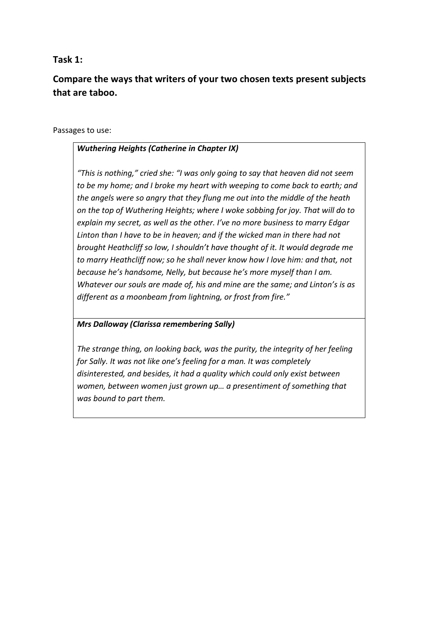## **Task 1:**

# **Compare the ways that writers of your two chosen texts present subjects that are taboo.**

#### Passages to use:

#### *Wuthering Heights (Catherine in Chapter IX)*

*"This is nothing," cried she: "I was only going to say that heaven did not seem to be my home; and I broke my heart with weeping to come back to earth; and the angels were so angry that they flung me out into the middle of the heath on the top of Wuthering Heights; where I woke sobbing for joy. That will do to explain my secret, as well as the other. I've no more business to marry Edgar Linton than I have to be in heaven; and if the wicked man in there had not brought Heathcliff so low, I shouldn't have thought of it. It would degrade me to marry Heathcliff now; so he shall never know how I love him: and that, not because he's handsome, Nelly, but because he's more myself than I am. Whatever our souls are made of, his and mine are the same; and Linton's is as different as a moonbeam from lightning, or frost from fire."*

#### *Mrs Dalloway (Clarissa remembering Sally)*

*The strange thing, on looking back, was the purity, the integrity of her feeling for Sally. It was not like one's feeling for a man. It was completely disinterested, and besides, it had a quality which could only exist between women, between women just grown up… a presentiment of something that was bound to part them.*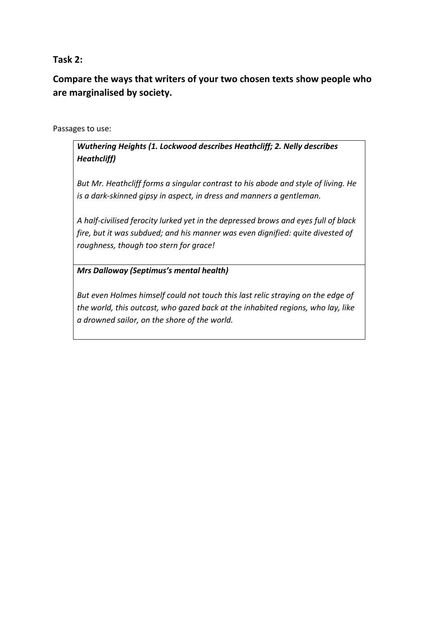**Task 2:**

**Compare the ways that writers of your two chosen texts show people who are marginalised by society.**

Passages to use:

*Wuthering Heights (1. Lockwood describes Heathcliff; 2. Nelly describes Heathcliff)*

*But Mr. Heathcliff forms a singular contrast to his abode and style of living. He is a dark-skinned gipsy in aspect, in dress and manners a gentleman.*

*A half-civilised ferocity lurked yet in the depressed brows and eyes full of black fire, but it was subdued; and his manner was even dignified: quite divested of roughness, though too stern for grace!*

*Mrs Dalloway (Septimus's mental health)*

*But even Holmes himself could not touch this last relic straying on the edge of the world, this outcast, who gazed back at the inhabited regions, who lay, like a drowned sailor, on the shore of the world.*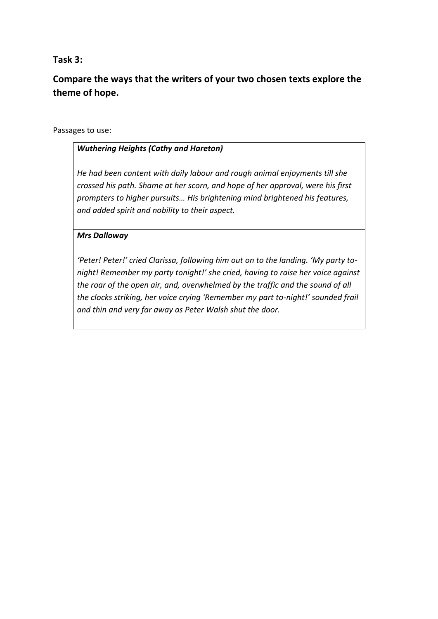## **Task 3:**

**Compare the ways that the writers of your two chosen texts explore the theme of hope.** 

#### Passages to use:

#### *Wuthering Heights (Cathy and Hareton)*

*He had been content with daily labour and rough animal enjoyments till she crossed his path. Shame at her scorn, and hope of her approval, were his first prompters to higher pursuits… His brightening mind brightened his features, and added spirit and nobility to their aspect.*

#### *Mrs Dalloway*

*'Peter! Peter!' cried Clarissa, following him out on to the landing. 'My party tonight! Remember my party tonight!' she cried, having to raise her voice against the roar of the open air, and, overwhelmed by the traffic and the sound of all the clocks striking, her voice crying 'Remember my part to-night!' sounded frail and thin and very far away as Peter Walsh shut the door.*